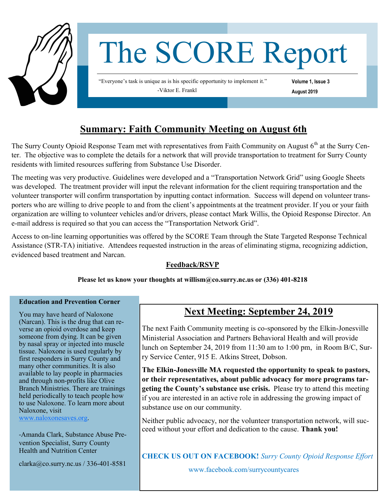

# The SCORE Report

"Everyone's task is unique as is his specific opportunity to implement it." -Viktor E. Frankl

**Volume 1, Issue 3 August 2019**

## **Summary: Faith Community Meeting on August 6th**

The Surry County Opioid Response Team met with representatives from Faith Community on August  $6<sup>th</sup>$  at the Surry Center. The objective was to complete the details for a network that will provide transportation to treatment for Surry County residents with limited resources suffering from Substance Use Disorder.

The meeting was very productive. Guidelines were developed and a "Transportation Network Grid" using Google Sheets was developed. The treatment provider will input the relevant information for the client requiring transportation and the volunteer transporter will confirm transportation by inputting contact information. Success will depend on volunteer transporters who are willing to drive people to and from the client's appointments at the treatment provider. If you or your faith organization are willing to volunteer vehicles and/or drivers, please contact Mark Willis, the Opioid Response Director. An e-mail address is required so that you can access the "Transportation Network Grid".

Access to on-line learning opportunities was offered by the SCORE Team through the State Targeted Response Technical Assistance (STR-TA) initiative. Attendees requested instruction in the areas of eliminating stigma, recognizing addiction, evidenced based treatment and Narcan.

### **Feedback/RSVP**

**Please let us know your thoughts at willism@co.surry.nc.us or (336) 401-8218**

#### **Education and Prevention Corner**

You may have heard of Naloxone (Narcan). This is the drug that can reverse an opioid overdose and keep someone from dying. It can be given by nasal spray or injected into muscle tissue. Naloxone is used regularly by first responders in Surry County and many other communities. It is also available to lay people in pharmacies and through non-profits like Olive Branch Ministries. There are trainings held periodically to teach people how to use Naloxone. To learn more about Naloxone, visit

[www.naloxonesaves.org.](http://www.naloxonesaves.org)

-Amanda Clark, Substance Abuse Prevention Specialist, Surry County Health and Nutrition Center

clarka@co.surry.nc.us / 336-401-8581

## **Next Meeting: September 24, 2019**

The next Faith Community meeting is co-sponsored by the Elkin-Jonesville Ministerial Association and Partners Behavioral Health and will provide lunch on September 24, 2019 from 11:30 am to 1:00 pm, in Room B/C, Surry Service Center, 915 E. Atkins Street, Dobson.

**The Elkin-Jonesville MA requested the opportunity to speak to pastors, or their representatives, about public advocacy for more programs targeting the County's substance use crisis.** Please try to attend this meeting if you are interested in an active role in addressing the growing impact of substance use on our community.

Neither public advocacy, nor the volunteer transportation network, will succeed without your effort and dedication to the cause. **Thank you!** 

**CHECK US OUT ON FACEBOOK!** *Surry County Opioid Response Effort* 

www.facebook.com/surrycountycares